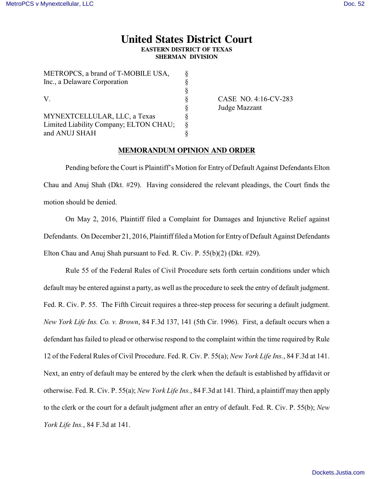## **United States District Court EASTERN DISTRICT OF TEXAS**

**SHERMAN DIVISION**

| METROPCS, a brand of T-MOBILE USA,     | Ò  |
|----------------------------------------|----|
| Inc., a Delaware Corporation           | Ş  |
| V.                                     | Ş  |
|                                        | Ş  |
|                                        | Ş  |
| MYNEXTCELLULAR, LLC, a Texas           | 8  |
| Limited Liability Company; ELTON CHAU; | \$ |
| and ANUJ SHAH                          |    |
|                                        |    |

METROPOS, 1, 1 CTMOBILE USA

CASE NO. 4:16-CV-283 Judge Mazzant

## **MEMORANDUM OPINION AND ORDER**

Pending before the Court is Plaintiff's Motion for Entry of Default Against Defendants Elton Chau and Anuj Shah (Dkt. #29). Having considered the relevant pleadings, the Court finds the motion should be denied.

On May 2, 2016, Plaintiff filed a Complaint for Damages and Injunctive Relief against Defendants. On December 21, 2016, Plaintiff filed a Motion for Entry of Default Against Defendants Elton Chau and Anuj Shah pursuant to Fed. R. Civ. P. 55(b)(2) (Dkt. #29).

Rule 55 of the Federal Rules of Civil Procedure sets forth certain conditions under which default may be entered against a party, as well as the procedure to seek the entry of default judgment. Fed. R. Civ. P. 55. The Fifth Circuit requires a three-step process for securing a default judgment. *New York Life Ins. Co. v. Brown*, 84 F.3d 137, 141 (5th Cir. 1996). First, a default occurs when a defendant has failed to plead or otherwise respond to the complaint within the time required by Rule 12 of the Federal Rules of Civil Procedure. Fed. R. Civ. P. 55(a); *New York Life Ins.*, 84 F.3d at 141. Next, an entry of default may be entered by the clerk when the default is established by affidavit or otherwise. Fed. R. Civ. P. 55(a); *New York Life Ins.*, 84 F.3d at 141. Third, a plaintiff may then apply to the clerk or the court for a default judgment after an entry of default. Fed. R. Civ. P. 55(b); *New York Life Ins.*, 84 F.3d at 141.